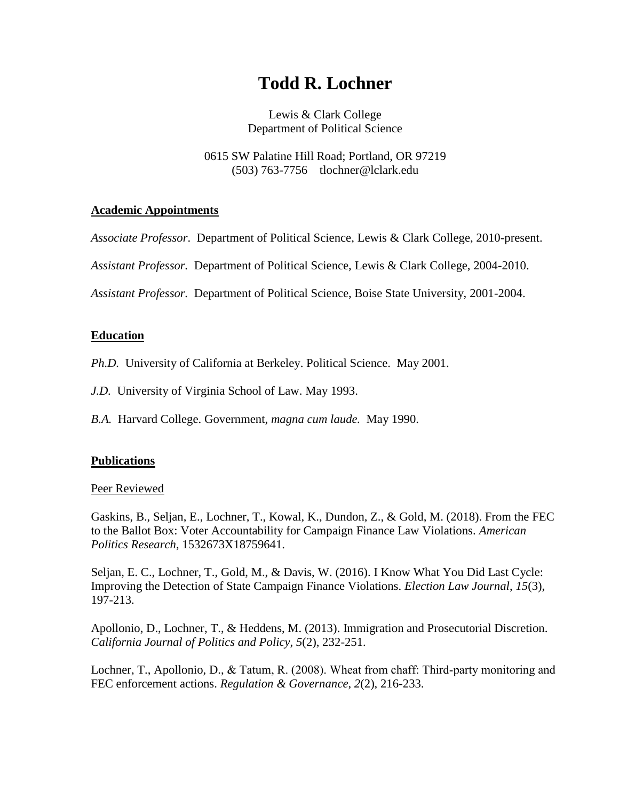# **Todd R. Lochner**

Lewis & Clark College Department of Political Science

0615 SW Palatine Hill Road; Portland, OR 97219 (503) 763-7756 tlochner@lclark.edu

## **Academic Appointments**

*Associate Professor*. Department of Political Science, Lewis & Clark College, 2010-present.

*Assistant Professor.* Department of Political Science, Lewis & Clark College, 2004-2010.

*Assistant Professor.* Department of Political Science, Boise State University, 2001-2004.

## **Education**

*Ph.D.* University of California at Berkeley. Political Science. May 2001.

- *J.D.* University of Virginia School of Law. May 1993.
- *B.A.* Harvard College. Government, *magna cum laude.* May 1990.

## **Publications**

## Peer Reviewed

Gaskins, B., Seljan, E., Lochner, T., Kowal, K., Dundon, Z., & Gold, M. (2018). From the FEC to the Ballot Box: Voter Accountability for Campaign Finance Law Violations. *American Politics Research*, 1532673X18759641.

Seljan, E. C., Lochner, T., Gold, M., & Davis, W. (2016). I Know What You Did Last Cycle: Improving the Detection of State Campaign Finance Violations. *Election Law Journal*, *15*(3), 197-213.

Apollonio, D., Lochner, T., & Heddens, M. (2013). Immigration and Prosecutorial Discretion. *California Journal of Politics and Policy*, *5*(2), 232-251.

Lochner, T., Apollonio, D., & Tatum, R. (2008). Wheat from chaff: Third-party monitoring and FEC enforcement actions. *Regulation & Governance*, *2*(2), 216-233.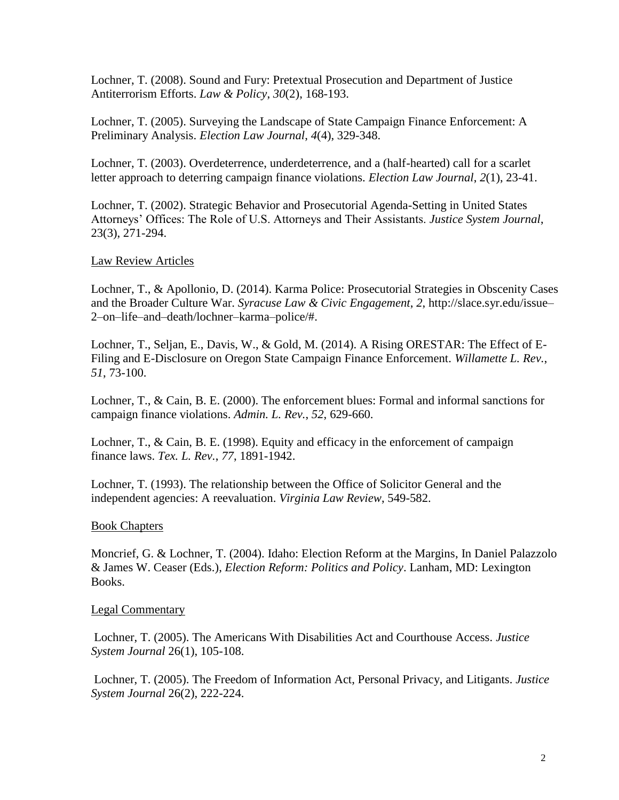Lochner, T. (2008). Sound and Fury: Pretextual Prosecution and Department of Justice Antiterrorism Efforts. *Law & Policy*, *30*(2), 168-193.

Lochner, T. (2005). Surveying the Landscape of State Campaign Finance Enforcement: A Preliminary Analysis. *Election Law Journal*, *4*(4), 329-348.

Lochner, T. (2003). Overdeterrence, underdeterrence, and a (half-hearted) call for a scarlet letter approach to deterring campaign finance violations. *Election Law Journal*, *2*(1), 23-41.

Lochner, T. (2002). Strategic Behavior and Prosecutorial Agenda-Setting in United States Attorneys' Offices: The Role of U.S. Attorneys and Their Assistants. *Justice System Journal*, 23(3), 271-294.

#### Law Review Articles

Lochner, T., & Apollonio, D. (2014). Karma Police: Prosecutorial Strategies in Obscenity Cases and the Broader Culture War. *Syracuse Law & Civic Engagement*, *2*, http://slace.syr.edu/issue– 2–on–life–and–death/lochner–karma–police/#.

Lochner, T., Seljan, E., Davis, W., & Gold, M. (2014). A Rising ORESTAR: The Effect of E-Filing and E-Disclosure on Oregon State Campaign Finance Enforcement. *Willamette L. Rev.*, *51*, 73-100.

Lochner, T., & Cain, B. E. (2000). The enforcement blues: Formal and informal sanctions for campaign finance violations. *Admin. L. Rev.*, *52*, 629-660.

Lochner, T., & Cain, B. E. (1998). Equity and efficacy in the enforcement of campaign finance laws. *Tex. L. Rev.*, *77*, 1891-1942.

Lochner, T. (1993). The relationship between the Office of Solicitor General and the independent agencies: A reevaluation. *Virginia Law Review*, 549-582.

#### Book Chapters

Moncrief, G. & Lochner, T. (2004). Idaho: Election Reform at the Margins, In Daniel Palazzolo & James W. Ceaser (Eds.), *Election Reform: Politics and Policy*. Lanham, MD: Lexington Books.

#### Legal Commentary

Lochner, T. (2005). The Americans With Disabilities Act and Courthouse Access. *Justice System Journal* 26(1), 105-108.

Lochner, T. (2005). The Freedom of Information Act, Personal Privacy, and Litigants. *Justice System Journal* 26(2), 222-224.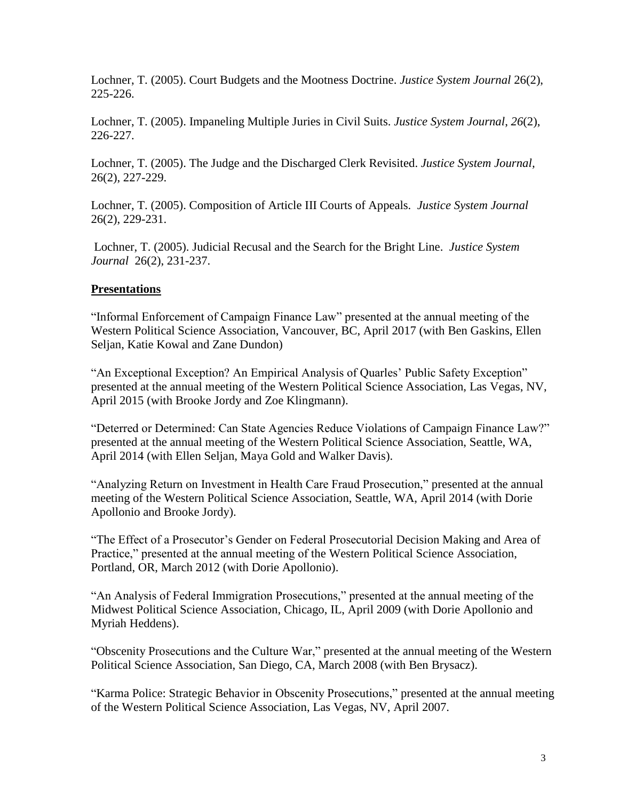Lochner, T. (2005). Court Budgets and the Mootness Doctrine. *Justice System Journal* 26(2), 225-226.

Lochner, T. (2005). Impaneling Multiple Juries in Civil Suits. *Justice System Journal*, *26*(2), 226-227.

Lochner, T. (2005). The Judge and the Discharged Clerk Revisited. *Justice System Journal,* 26(2), 227-229.

Lochner, T. (2005). Composition of Article III Courts of Appeals. *Justice System Journal* 26(2), 229-231.

Lochner, T. (2005). Judicial Recusal and the Search for the Bright Line. *Justice System Journal* 26(2), 231-237.

## **Presentations**

"Informal Enforcement of Campaign Finance Law" presented at the annual meeting of the Western Political Science Association, Vancouver, BC, April 2017 (with Ben Gaskins, Ellen Seljan, Katie Kowal and Zane Dundon)

"An Exceptional Exception? An Empirical Analysis of Quarles' Public Safety Exception" presented at the annual meeting of the Western Political Science Association, Las Vegas, NV, April 2015 (with Brooke Jordy and Zoe Klingmann).

"Deterred or Determined: Can State Agencies Reduce Violations of Campaign Finance Law?" presented at the annual meeting of the Western Political Science Association, Seattle, WA, April 2014 (with Ellen Seljan, Maya Gold and Walker Davis).

"Analyzing Return on Investment in Health Care Fraud Prosecution," presented at the annual meeting of the Western Political Science Association, Seattle, WA, April 2014 (with Dorie Apollonio and Brooke Jordy).

"The Effect of a Prosecutor's Gender on Federal Prosecutorial Decision Making and Area of Practice," presented at the annual meeting of the Western Political Science Association, Portland, OR, March 2012 (with Dorie Apollonio).

"An Analysis of Federal Immigration Prosecutions," presented at the annual meeting of the Midwest Political Science Association, Chicago, IL, April 2009 (with Dorie Apollonio and Myriah Heddens).

"Obscenity Prosecutions and the Culture War," presented at the annual meeting of the Western Political Science Association, San Diego, CA, March 2008 (with Ben Brysacz).

"Karma Police: Strategic Behavior in Obscenity Prosecutions," presented at the annual meeting of the Western Political Science Association, Las Vegas, NV, April 2007.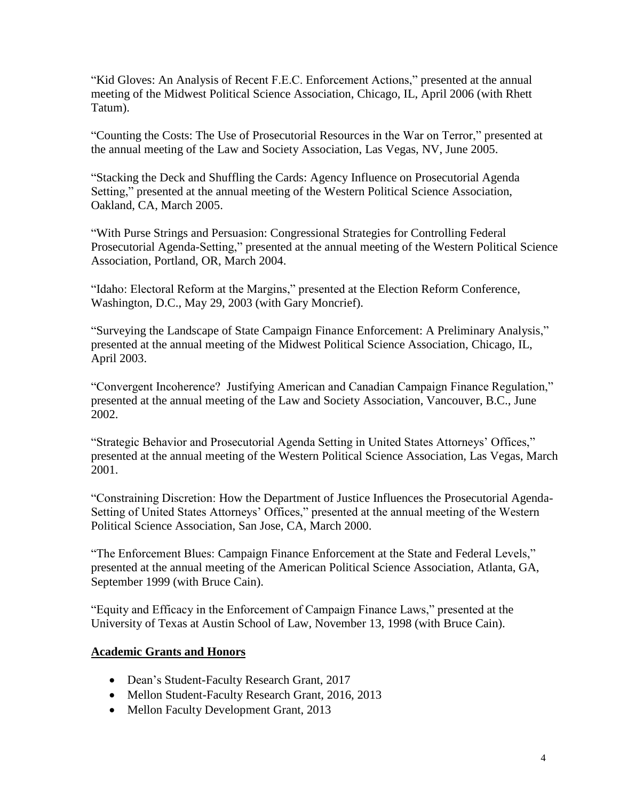"Kid Gloves: An Analysis of Recent F.E.C. Enforcement Actions," presented at the annual meeting of the Midwest Political Science Association, Chicago, IL, April 2006 (with Rhett Tatum).

"Counting the Costs: The Use of Prosecutorial Resources in the War on Terror," presented at the annual meeting of the Law and Society Association, Las Vegas, NV, June 2005.

"Stacking the Deck and Shuffling the Cards: Agency Influence on Prosecutorial Agenda Setting," presented at the annual meeting of the Western Political Science Association, Oakland, CA, March 2005.

"With Purse Strings and Persuasion: Congressional Strategies for Controlling Federal Prosecutorial Agenda-Setting," presented at the annual meeting of the Western Political Science Association, Portland, OR, March 2004.

"Idaho: Electoral Reform at the Margins," presented at the Election Reform Conference, Washington, D.C., May 29, 2003 (with Gary Moncrief).

"Surveying the Landscape of State Campaign Finance Enforcement: A Preliminary Analysis," presented at the annual meeting of the Midwest Political Science Association, Chicago, IL, April 2003.

"Convergent Incoherence? Justifying American and Canadian Campaign Finance Regulation," presented at the annual meeting of the Law and Society Association, Vancouver, B.C., June 2002.

"Strategic Behavior and Prosecutorial Agenda Setting in United States Attorneys' Offices," presented at the annual meeting of the Western Political Science Association, Las Vegas, March 2001.

"Constraining Discretion: How the Department of Justice Influences the Prosecutorial Agenda-Setting of United States Attorneys' Offices," presented at the annual meeting of the Western Political Science Association, San Jose, CA, March 2000.

"The Enforcement Blues: Campaign Finance Enforcement at the State and Federal Levels," presented at the annual meeting of the American Political Science Association, Atlanta, GA, September 1999 (with Bruce Cain).

"Equity and Efficacy in the Enforcement of Campaign Finance Laws," presented at the University of Texas at Austin School of Law, November 13, 1998 (with Bruce Cain).

## **Academic Grants and Honors**

- Dean's Student-Faculty Research Grant, 2017
- Mellon Student-Faculty Research Grant, 2016, 2013
- Mellon Faculty Development Grant, 2013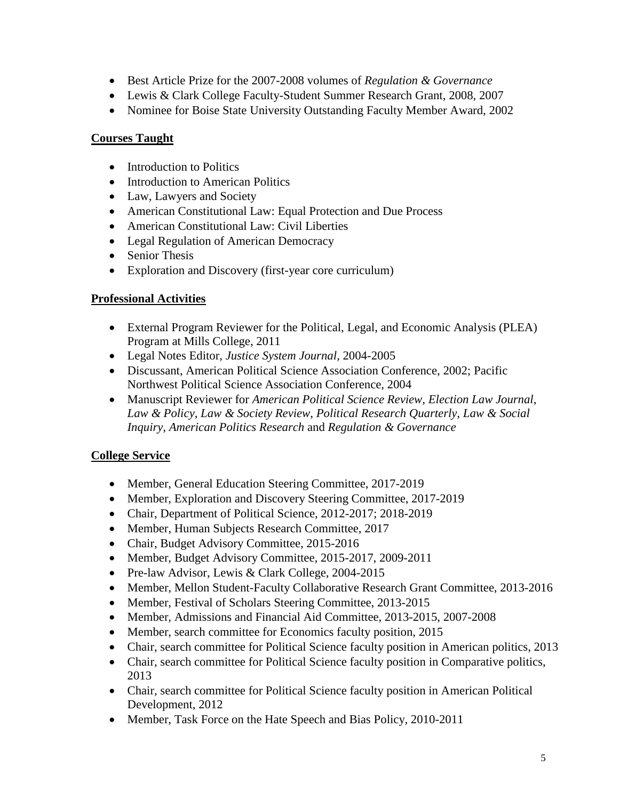- Best Article Prize for the 2007-2008 volumes of *Regulation & Governance*
- Lewis & Clark College Faculty-Student Summer Research Grant, 2008, 2007
- Nominee for Boise State University Outstanding Faculty Member Award, 2002

## **Courses Taught**

- Introduction to Politics
- Introduction to American Politics
- Law, Lawyers and Society
- American Constitutional Law: Equal Protection and Due Process
- American Constitutional Law: Civil Liberties
- Legal Regulation of American Democracy
- Senior Thesis
- Exploration and Discovery (first-year core curriculum)

# **Professional Activities**

- External Program Reviewer for the Political, Legal, and Economic Analysis (PLEA) Program at Mills College, 2011
- Legal Notes Editor, *Justice System Journal*, 2004-2005
- Discussant, American Political Science Association Conference, 2002; Pacific Northwest Political Science Association Conference, 2004
- Manuscript Reviewer for *American Political Science Review*, *Election Law Journal*, *Law & Policy*, *Law & Society Review*, *Political Research Quarterly, Law & Social Inquiry, American Politics Research* and *Regulation & Governance*

# **College Service**

- Member, General Education Steering Committee, 2017-2019
- Member, Exploration and Discovery Steering Committee, 2017-2019
- Chair, Department of Political Science, 2012-2017; 2018-2019
- Member, Human Subjects Research Committee, 2017
- Chair, Budget Advisory Committee, 2015-2016
- Member, Budget Advisory Committee, 2015-2017, 2009-2011
- Pre-law Advisor, Lewis & Clark College, 2004-2015
- Member, Mellon Student-Faculty Collaborative Research Grant Committee, 2013-2016
- Member, Festival of Scholars Steering Committee, 2013-2015
- Member, Admissions and Financial Aid Committee, 2013-2015, 2007-2008
- Member, search committee for Economics faculty position, 2015
- Chair, search committee for Political Science faculty position in American politics, 2013
- Chair, search committee for Political Science faculty position in Comparative politics, 2013
- Chair, search committee for Political Science faculty position in American Political Development, 2012
- Member, Task Force on the Hate Speech and Bias Policy, 2010-2011